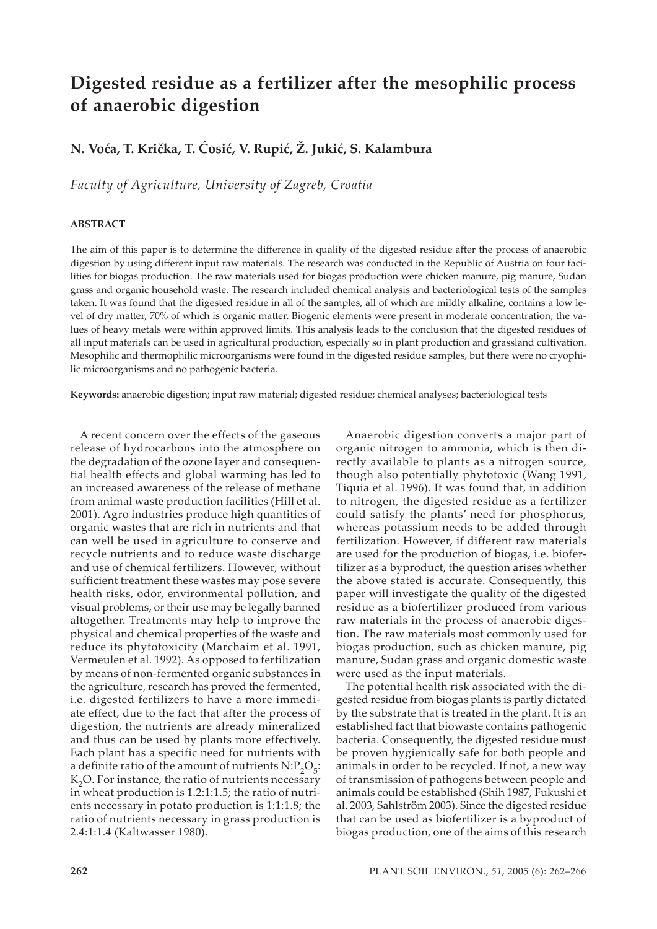# **Digested residue as a fertilizer after the mesophilic process of anaerobic digestion**

# **N. Voća, T. Krička, T. Ćosić, V. Rupić, Ž. Jukić, S. Kalambura**

*Faculty of Agriculture, University of Zagreb, Croatia*

#### **ABSTRACT**

The aim of this paper is to determine the difference in quality of the digested residue a�er the process of anaerobic digestion by using different input raw materials. The research was conducted in the Republic of Austria on four facilities for biogas production. The raw materials used for biogas production were chicken manure, pig manure, Sudan grass and organic household waste. The research included chemical analysis and bacteriological tests of the samples taken. It was found that the digested residue in all of the samples, all of which are mildly alkaline, contains a low level of dry matter, 70% of which is organic matter. Biogenic elements were present in moderate concentration; the values of heavy metals were within approved limits. This analysis leads to the conclusion that the digested residues of all input materials can be used in agricultural production, especially so in plant production and grassland cultivation. Mesophilic and thermophilic microorganisms were found in the digested residue samples, but there were no cryophilic microorganisms and no pathogenic bacteria.

**Keywords:** anaerobic digestion; input raw material; digested residue; chemical analyses; bacteriological tests

A recent concern over the effects of the gaseous release of hydrocarbons into the atmosphere on the degradation of the ozone layer and consequential health effects and global warming has led to an increased awareness of the release of methane from animal waste production facilities (Hill et al. 2001). Agro industries produce high quantities of organic wastes that are rich in nutrients and that can well be used in agriculture to conserve and recycle nutrients and to reduce waste discharge and use of chemical fertilizers. However, without sufficient treatment these wastes may pose severe health risks, odor, environmental pollution, and visual problems, or their use may be legally banned altogether. Treatments may help to improve the physical and chemical properties of the waste and reduce its phytotoxicity (Marchaim et al. 1991, Vermeulen et al. 1992). As opposed to fertilization by means of non-fermented organic substances in the agriculture, research has proved the fermented, i.e. digested fertilizers to have a more immediate effect, due to the fact that after the process of digestion, the nutrients are already mineralized and thus can be used by plants more effectively. Each plant has a specific need for nutrients with a definite ratio of the amount of nutrients  $N: P_2O_5$ :  $K<sub>2</sub>O$ . For instance, the ratio of nutrients necessary in wheat production is 1.2:1:1.5; the ratio of nutrients necessary in potato production is 1:1:1.8; the ratio of nutrients necessary in grass production is 2.4:1:1.4 (Kaltwasser 1980).

Anaerobic digestion converts a major part of organic nitrogen to ammonia, which is then directly available to plants as a nitrogen source, though also potentially phytotoxic (Wang 1991, Tiquia et al. 1996). It was found that, in addition to nitrogen, the digested residue as a fertilizer could satisfy the plants' need for phosphorus, whereas potassium needs to be added through fertilization. However, if different raw materials are used for the production of biogas, i.e. biofertilizer as a byproduct, the question arises whether the above stated is accurate. Consequently, this paper will investigate the quality of the digested residue as a biofertilizer produced from various raw materials in the process of anaerobic digestion. The raw materials most commonly used for biogas production, such as chicken manure, pig manure, Sudan grass and organic domestic waste were used as the input materials.

The potential health risk associated with the digested residue from biogas plants is partly dictated by the substrate that is treated in the plant. It is an established fact that biowaste contains pathogenic bacteria. Consequently, the digested residue must be proven hygienically safe for both people and animals in order to be recycled. If not, a new way of transmission of pathogens between people and animals could be established (Shih 1987, Fukushi et al. 2003, Sahlström 2003). Since the digested residue that can be used as biofertilizer is a byproduct of biogas production, one of the aims of this research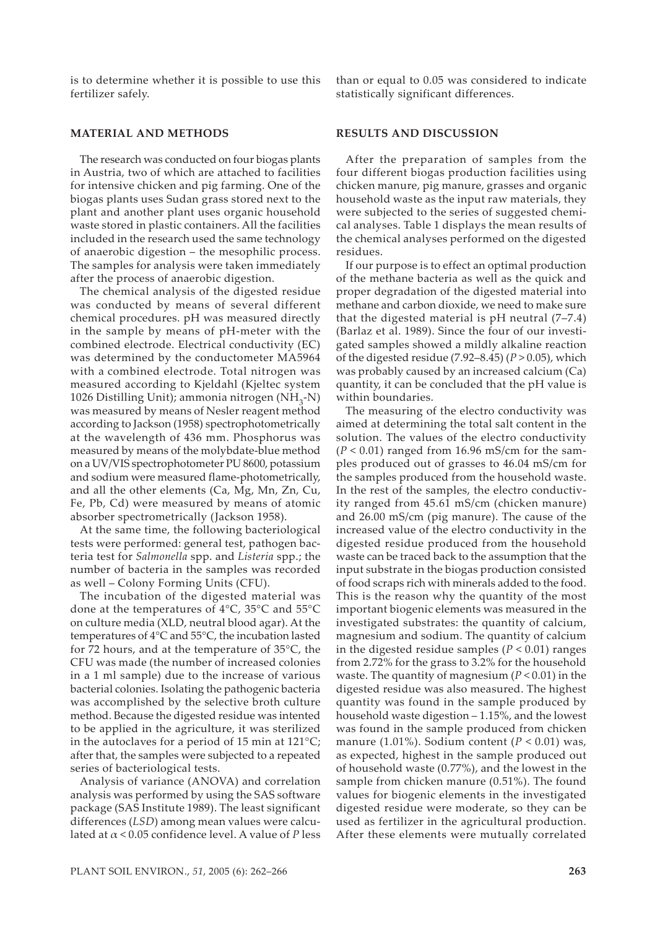is to determine whether it is possible to use this fertilizer safely.

#### **MATERIAL AND METHODS**

The research was conducted on four biogas plants in Austria, two of which are attached to facilities for intensive chicken and pig farming. One of the biogas plants uses Sudan grass stored next to the plant and another plant uses organic household waste stored in plastic containers. All the facilities included in the research used the same technology of anaerobic digestion – the mesophilic process. The samples for analysis were taken immediately after the process of anaerobic digestion.

The chemical analysis of the digested residue was conducted by means of several different chemical procedures. pH was measured directly in the sample by means of pH-meter with the combined electrode. Electrical conductivity (EC) was determined by the conductometer MA5964 with a combined electrode. Total nitrogen was measured according to Kjeldahl (Kjeltec system 1026 Distilling Unit); ammonia nitrogen (NH<sub>3</sub>-N) was measured by means of Nesler reagent method according to Jackson (1958) spectrophotometrically at the wavelength of 436 mm. Phosphorus was measured by means of the molybdate-blue method on a UV/VIS spectrophotometer PU 8600, potassium and sodium were measured flame-photometrically, and all the other elements (Ca, Mg, Mn, Zn, Cu, Fe, Pb, Cd) were measured by means of atomic absorber spectrometrically (Jackson 1958).

At the same time, the following bacteriological tests were performed: general test, pathogen bacteria test for *Salmonella* spp. and *Listeria* spp.; the number of bacteria in the samples was recorded as well – Colony Forming Units (CFU).

The incubation of the digested material was done at the temperatures of 4°C, 35°C and 55°C on culture media (XLD, neutral blood agar). At the temperatures of 4°C and 55°C, the incubation lasted for 72 hours, and at the temperature of 35°C, the CFU was made (the number of increased colonies in a 1 ml sample) due to the increase of various bacterial colonies. Isolating the pathogenic bacteria was accomplished by the selective broth culture method. Because the digested residue was intented to be applied in the agriculture, it was sterilized in the autoclaves for a period of 15 min at 121°C; after that, the samples were subjected to a repeated series of bacteriological tests.

Analysis of variance (ANOVA) and correlation analysis was performed by using the SAS software package (SAS Institute 1989). The least significant differences (*LSD*) among mean values were calculated at α < 0.05 confidence level. A value of *P* less

than or equal to 0.05 was considered to indicate statistically significant differences.

### **RESULTS AND DISCUSSION**

After the preparation of samples from the four different biogas production facilities using chicken manure, pig manure, grasses and organic household waste as the input raw materials, they were subjected to the series of suggested chemical analyses. Table 1 displays the mean results of the chemical analyses performed on the digested residues.

If our purpose is to effect an optimal production of the methane bacteria as well as the quick and proper degradation of the digested material into methane and carbon dioxide, we need to make sure that the digested material is pH neutral (7–7.4) (Barlaz et al. 1989). Since the four of our investigated samples showed a mildly alkaline reaction of the digested residue (7.92–8.45) (*P* > 0.05), which was probably caused by an increased calcium (Ca) quantity, it can be concluded that the pH value is within boundaries.

The measuring of the electro conductivity was aimed at determining the total salt content in the solution. The values of the electro conductivity  $(P < 0.01)$  ranged from 16.96 mS/cm for the samples produced out of grasses to 46.04 mS/cm for the samples produced from the household waste. In the rest of the samples, the electro conductivity ranged from 45.61 mS/cm (chicken manure) and 26.00 mS/cm (pig manure). The cause of the increased value of the electro conductivity in the digested residue produced from the household waste can be traced back to the assumption that the input substrate in the biogas production consisted of food scraps rich with minerals added to the food. This is the reason why the quantity of the most important biogenic elements was measured in the investigated substrates: the quantity of calcium, magnesium and sodium. The quantity of calcium in the digested residue samples  $(P < 0.01)$  ranges from 2.72% for the grass to 3.2% for the household waste. The quantity of magnesium (*P* < 0.01) in the digested residue was also measured. The highest quantity was found in the sample produced by household waste digestion – 1.15%, and the lowest was found in the sample produced from chicken manure (1.01%). Sodium content ( $P < 0.01$ ) was, as expected, highest in the sample produced out of household waste (0.77%), and the lowest in the sample from chicken manure (0.51%). The found values for biogenic elements in the investigated digested residue were moderate, so they can be used as fertilizer in the agricultural production. After these elements were mutually correlated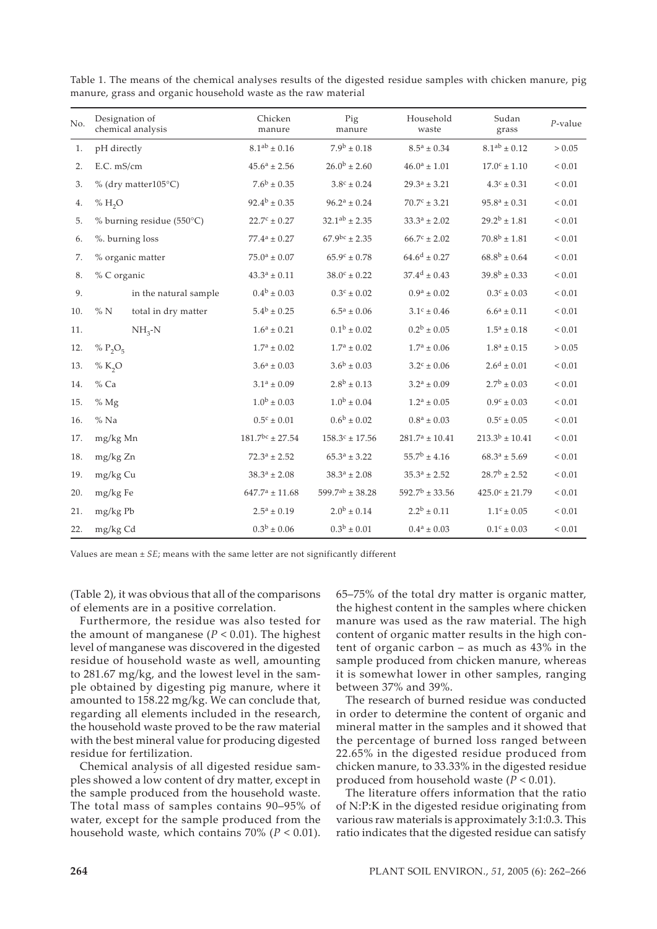| No. | Designation of<br>chemical analysis | Chicken<br>manure       | Pig<br>manure           | Household<br>waste           | Sudan<br>grass            | $P$ -value |
|-----|-------------------------------------|-------------------------|-------------------------|------------------------------|---------------------------|------------|
| 1.  | pH directly                         | $8.1^{ab} \pm 0.16$     | $7.9^{\rm b} \pm 0.18$  | $8.5^a \pm 0.34$             | $8.1^{\rm ab} \pm 0.12$   | > 0.05     |
| 2.  | E.C. mS/cm                          | $45.6^a \pm 2.56$       | $26.0^{\rm b} \pm 2.60$ | $46.0^a \pm 1.01$            | $17.0^{\circ} \pm 1.10$   | ${}< 0.01$ |
| 3.  | % (dry matter105°C)                 | $7.6^b \pm 0.35$        | $3.8^{\circ} \pm 0.24$  | $29.3^a \pm 3.21$            | $4.3^{\circ} \pm 0.31$    | $< 0.01$   |
| 4.  | % H <sub>2</sub> O                  | $92.4^{\rm b} \pm 0.35$ | $96.2^a \pm 0.24$       | $70.7c \pm 3.21$             | $95.8^a \pm 0.31$         | ${}< 0.01$ |
| 5.  | % burning residue (550°C)           | $22.7^{\circ} \pm 0.27$ | $32.1^{ab} \pm 2.35$    | $33.3^a \pm 2.02$            | $29.2^{\rm b}\pm1.81$     | $< 0.01$   |
| 6.  | %. burning loss                     | $77.4^a \pm 0.27$       | $67.9^{bc} \pm 2.35$    | $66.7^{\circ} \pm 2.02$      | $70.8^b \pm 1.81$         | ${}< 0.01$ |
| 7.  | % organic matter                    | $75.0^a \pm 0.07$       | $65.9^{\circ} \pm 0.78$ | $64.6^d \pm 0.27$            | $68.8^b \pm 0.64$         | ${}< 0.01$ |
| 8.  | % C organic                         | $43.3^a \pm 0.11$       | $38.0^{\circ} \pm 0.22$ | $37.4^{\rm d} \pm 0.43$      | $39.8^b \pm 0.33$         | ${}< 0.01$ |
| 9.  | in the natural sample               | $0.4^b \pm 0.03$        | $0.3^{\circ} \pm 0.02$  | $0.9^a \pm 0.02$             | $0.3^{\circ} \pm 0.03$    | ${}< 0.01$ |
| 10. | $\%$ N<br>total in dry matter       | $5.4^{\rm b} \pm 0.25$  | $6.5^a \pm 0.06$        | $3.1^{\circ} \pm 0.46$       | $6.6^a \pm 0.11$          | $< 0.01$   |
| 11. | $NH_{3}-N$                          | $1.6^a \pm 0.21$        | $0.1^{\rm b} \pm 0.02$  | $0.2^b \pm 0.05$             | $1.5^{\rm a} \pm 0.18$    | ${}< 0.01$ |
| 12. | % $P_2O_5$                          | $1.7^a \pm 0.02$        | $1.7^a \pm 0.02$        | $1.7^a \pm 0.06$             | $1.8^a \pm 0.15$          | > 0.05     |
| 13. | % $K_2O$                            | $3.6^a \pm 0.03$        | $3.6^b \pm 0.03$        | $3.2^{\circ} \pm 0.06$       | $2.6^d \pm 0.01$          | ${}< 0.01$ |
| 14. | $%$ Ca                              | $3.1^a \pm 0.09$        | $2.8^b \pm 0.13$        | $3.2^a \pm 0.09$             | $2.7^{\rm b} \pm 0.03$    | $< 0.01$   |
| 15. | % Mg                                | $1.0^{\rm b} \pm 0.03$  | $1.0^{\rm b} \pm 0.04$  | $1.2^a \pm 0.05$             | $0.9^{\circ} \pm 0.03$    | ${}< 0.01$ |
| 16. | $%$ Na                              | $0.5^{\circ} \pm 0.01$  | $0.6^{\rm b} \pm 0.02$  | $0.8^{\rm a} \pm 0.03$       | $0.5^{\circ} \pm 0.05$    | ${}< 0.01$ |
| 17. | mg/kg Mn                            | $181.7^{bc} \pm 27.54$  | $158.3^c \pm 17.56$     | $281.7^a \pm 10.41$          | $213.3^b \pm 10.41$       | ${}< 0.01$ |
| 18. | mg/kg Zn                            | $72.3^a \pm 2.52$       | $65.3^a \pm 3.22$       | $55.7^{\mathrm{b}} \pm 4.16$ | $68.3^a \pm 5.69$         | ${}< 0.01$ |
| 19. | mg/kg Cu                            | $38.3^a \pm 2.08$       | $38.3^a \pm 2.08$       | $35.3^a \pm 2.52$            | $28.7^{\rm b} \pm 2.52$   | ${}< 0.01$ |
| 20. | mg/kg Fe                            | $647.7^a \pm 11.68$     | $599.7^{ab} \pm 38.28$  | $592.7^{\rm b} \pm 33.56$    | $425.0^{\circ} \pm 21.79$ | ${}< 0.01$ |
| 21. | mg/kg Pb                            | $2.5^a \pm 0.19$        | $2.0^{\rm b}\pm0.14$    | $2.2^{\rm b}\pm0.11$         | $1.1^{\rm c} \pm 0.05$    | $< 0.01$   |
| 22. | mg/kg Cd                            | $0.3^{\rm b}\pm0.06$    | $0.3^{\rm b}\pm0.01$    | $0.4^a \pm 0.03$             | $0.1^{\circ} \pm 0.03$    | ${}< 0.01$ |

Table 1. The means of the chemical analyses results of the digested residue samples with chicken manure, pig manure, grass and organic household waste as the raw material

Values are mean ± *SE*; means with the same letter are not significantly different

(Table 2), it was obvious that all of the comparisons of elements are in a positive correlation.

Furthermore, the residue was also tested for the amount of manganese  $(P < 0.01)$ . The highest level of manganese was discovered in the digested residue of household waste as well, amounting to 281.67 mg/kg, and the lowest level in the sample obtained by digesting pig manure, where it amounted to 158.22 mg/kg. We can conclude that, regarding all elements included in the research, the household waste proved to be the raw material with the best mineral value for producing digested residue for fertilization.

Chemical analysis of all digested residue samples showed a low content of dry matter, except in the sample produced from the household waste. The total mass of samples contains 90–95% of water, except for the sample produced from the household waste, which contains 70% (*P* < 0.01). 65–75% of the total dry matter is organic matter, the highest content in the samples where chicken manure was used as the raw material. The high content of organic matter results in the high content of organic carbon – as much as 43% in the sample produced from chicken manure, whereas it is somewhat lower in other samples, ranging between 37% and 39%.

The research of burned residue was conducted in order to determine the content of organic and mineral matter in the samples and it showed that the percentage of burned loss ranged between 22.65% in the digested residue produced from chicken manure, to 33.33% in the digested residue produced from household waste (*P* < 0.01).

The literature offers information that the ratio of N:P:K in the digested residue originating from various raw materials is approximately 3:1:0.3. This ratio indicates that the digested residue can satisfy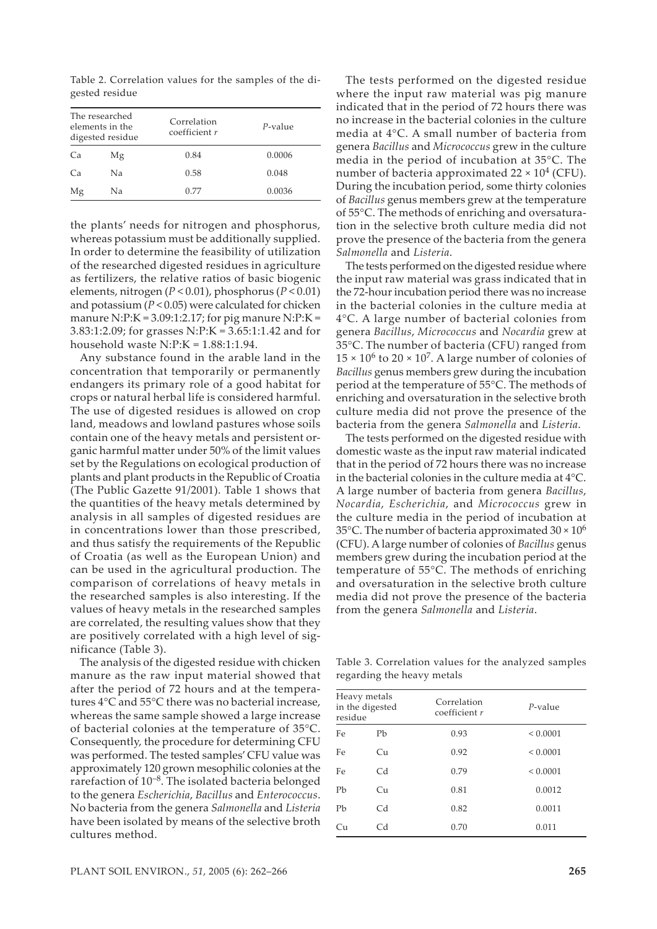Table 2. Correlation values for the samples of the digested residue

| The researched<br>elements in the<br>digested residue |    | Correlation<br>coefficient r | $P$ -value |  |
|-------------------------------------------------------|----|------------------------------|------------|--|
| Ca                                                    | Mg | 0.84                         | 0.0006     |  |
| Ca                                                    | Nа | 0.58                         | 0.048      |  |
| Mg                                                    | Na | 0.77                         | 0.0036     |  |

the plants' needs for nitrogen and phosphorus, whereas potassium must be additionally supplied. In order to determine the feasibility of utilization of the researched digested residues in agriculture as fertilizers, the relative ratios of basic biogenic elements, nitrogen (*P* < 0.01), phosphorus (*P* < 0.01) and potassium (*P* < 0.05) were calculated for chicken manure N:P:K =  $3.09:1:2.17$ ; for pig manure N:P:K = 3.83:1:2.09; for grasses N:P:K = 3.65:1:1.42 and for household waste N:P:K =  $1.88:1:1.94$ .

Any substance found in the arable land in the concentration that temporarily or permanently endangers its primary role of a good habitat for crops or natural herbal life is considered harmful. The use of digested residues is allowed on crop land, meadows and lowland pastures whose soils contain one of the heavy metals and persistent organic harmful matter under 50% of the limit values set by the Regulations on ecological production of plants and plant products in the Republic of Croatia (The Public Gazette 91/2001). Table 1 shows that the quantities of the heavy metals determined by analysis in all samples of digested residues are in concentrations lower than those prescribed, and thus satisfy the requirements of the Republic of Croatia (as well as the European Union) and can be used in the agricultural production. The comparison of correlations of heavy metals in the researched samples is also interesting. If the values of heavy metals in the researched samples are correlated, the resulting values show that they are positively correlated with a high level of significance (Table 3).

The analysis of the digested residue with chicken manure as the raw input material showed that after the period of 72 hours and at the temperatures 4°C and 55°C there was no bacterial increase, whereas the same sample showed a large increase of bacterial colonies at the temperature of 35°C. Consequently, the procedure for determining CFU was performed. The tested samples' CFU value was approximately 120 grown mesophilic colonies at the rarefaction of 10–8. The isolated bacteria belonged to the genera *Escherichia*, *Bacillus* and *Enterococcus*. No bacteria from the genera *Salmonella* and *Listeria* have been isolated by means of the selective broth cultures method.

The tests performed on the digested residue where the input raw material was pig manure indicated that in the period of 72 hours there was no increase in the bacterial colonies in the culture media at 4°C. A small number of bacteria from genera *Bacillus* and *Micrococcus* grew in the culture media in the period of incubation at 35°C. The number of bacteria approximated  $22 \times 10^4$  (CFU). During the incubation period, some thirty colonies of *Bacillus* genus members grew at the temperature of 55°C. The methods of enriching and oversaturation in the selective broth culture media did not prove the presence of the bacteria from the genera *Salmonella* and *Listeria*.

The tests performed on the digested residue where the input raw material was grass indicated that in the 72-hour incubation period there was no increase in the bacterial colonies in the culture media at 4°C. A large number of bacterial colonies from genera *Bacillus*, *Micrococcus* and *Nocardia* grew at 35°C. The number of bacteria (CFU) ranged from  $15 \times 10^6$  to  $20 \times 10^7$ . A large number of colonies of *Bacillus* genus members grew during the incubation period at the temperature of 55°C. The methods of enriching and oversaturation in the selective broth culture media did not prove the presence of the bacteria from the genera *Salmonella* and *Listeria*.

The tests performed on the digested residue with domestic waste as the input raw material indicated that in the period of 72 hours there was no increase in the bacterial colonies in the culture media at 4°C. A large number of bacteria from genera *Bacillus*, *Nocardia*, *Escherichia*, and *Micrococcus* grew in the culture media in the period of incubation at 35°C. The number of bacteria approximated  $30 \times 10^6$ (CFU). A large number of colonies of *Bacillus* genus members grew during the incubation period at the temperature of 55°C. The methods of enriching and oversaturation in the selective broth culture media did not prove the presence of the bacteria from the genera *Salmonella* and *Listeria*.

Table 3. Correlation values for the analyzed samples regarding the heavy metals

| Heavy metals<br>in the digested<br>residue |                | Correlation<br>coefficient r | P-value      |  |
|--------------------------------------------|----------------|------------------------------|--------------|--|
| Fe                                         | Pb             | 0.93                         | ${}< 0.0001$ |  |
| Fe                                         | Cu             | 0.92                         | ${}< 0.0001$ |  |
| Fe                                         | C <sub>d</sub> | 0.79                         | ${}< 0.0001$ |  |
| Pb                                         | Cu             | 0.81                         | 0.0012       |  |
| Pb                                         | C <sub>d</sub> | 0.82                         | 0.0011       |  |
| Cu                                         | C <sub>d</sub> | 0.70                         | 0.011        |  |
|                                            |                |                              |              |  |